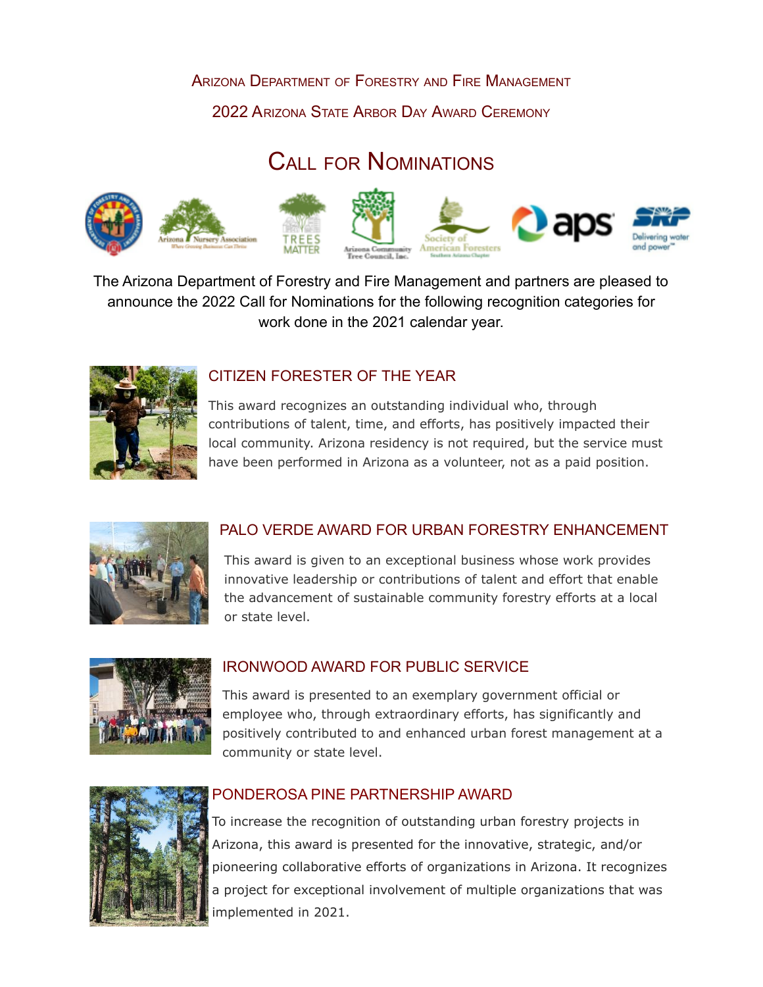#### ARIZONA DEPARTMENT OF FORESTRY AND FIRE MANAGEMENT

2022 ARIZONA STATE ARBOR DAY AWARD CEREMONY

# CALL FOR NOMINATIONS



The Arizona Department of Forestry and Fire Management and partners are pleased to announce the 2022 Call for Nominations for the following recognition categories for work done in the 2021 calendar year.



#### CITIZEN FORESTER OF THE YEAR

This award recognizes an outstanding individual who, through contributions of talent, time, and efforts, has positively impacted their local community. Arizona residency is not required, but the service must have been performed in Arizona as a volunteer, not as a paid position.



### PALO VERDE AWARD FOR URBAN FORESTRY ENHANCEMENT

This award is given to an exceptional business whose work provides innovative leadership or contributions of talent and effort that enable the advancement of sustainable community forestry efforts at a local or state level.



#### IRONWOOD AWARD FOR PUBLIC SERVICE

This award is presented to an exemplary government official or employee who, through extraordinary efforts, has significantly and positively contributed to and enhanced urban forest management at a community or state level.



#### PONDEROSA PINE PARTNERSHIP AWARD

To increase the recognition of outstanding urban forestry projects in Arizona, this award is presented for the innovative, strategic, and/or pioneering collaborative efforts of organizations in Arizona. It recognizes a project for exceptional involvement of multiple organizations that was implemented in 2021.